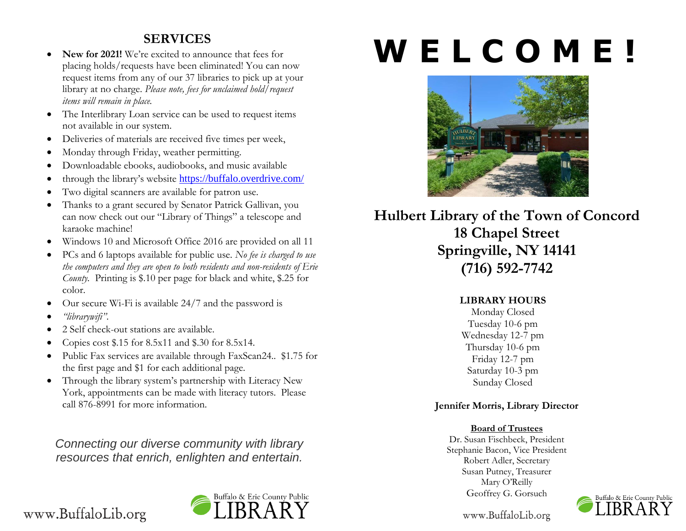# **SERVICES**

- New for 2021! We're excited to announce that fees for placing holds/requests have been eliminated! You can now request items from any of our 37 libraries to pick up at your library at no charge. *Please note, fees for unclaimed hold/request items will remain in place.*
- The Interlibrary Loan service can be used to request items not available in our system.
- Deliveries of materials are received five times per week,
- Monday through Friday, weather permitting.
- Downloadable ebooks, audiobooks, and music available
- through the library's website <https://buffalo.overdrive.com/>
- Two digital scanners are available for patron use.
- Thanks to a grant secured by Senator Patrick Gallivan, you can now check out our "Library of Things" a telescope and karaoke machine!
- Windows 10 and Microsoft Office 2016 are provided on all 11
- PCs and 6 laptops available for public use. *No fee is charged to use the computers and they are open to both residents and non-residents of Erie County.* Printing is \$.10 per page for black and white, \$.25 for color.
- Our secure Wi-Fi is available 24/7 and the password is
- *"librarywifi"*.
- 2 Self check-out stations are available.
- Copies cost \$.15 for 8.5x11 and \$.30 for 8.5x14.
- Public Fax services are available through FaxScan24.. \$1.75 for the first page and \$1 for each additional page.
- Through the library system's partnership with Literacy New York, appointments can be made with literacy tutors. Please call 876-8991 for more information.

*Connecting our diverse community with library resources that enrich, enlighten and entertain.*

# Buffalo & Erie County Public

# **W E L C O M E !**



**Hulbert Library of the Town of Concord 18 Chapel Street Springville, NY 14141 (716) 592-7742**

### **LIBRARY HOURS**

Monday Closed Tuesday 10-6 pm Wednesday 12-7 pm Thursday 10-6 pm Friday 12-7 pm Saturday 10-3 pm Sunday Closed

# **Jennifer Morris, Library Director**

### **Board of Trustees**

Dr. Susan Fischbeck, President Stephanie Bacon, Vice President Robert Adler, Secretary Susan Putney, Treasurer Mary O'Reilly Geoffrey G. Gorsuch



www.BuffaloLib.org

# www.BuffaloLib.org